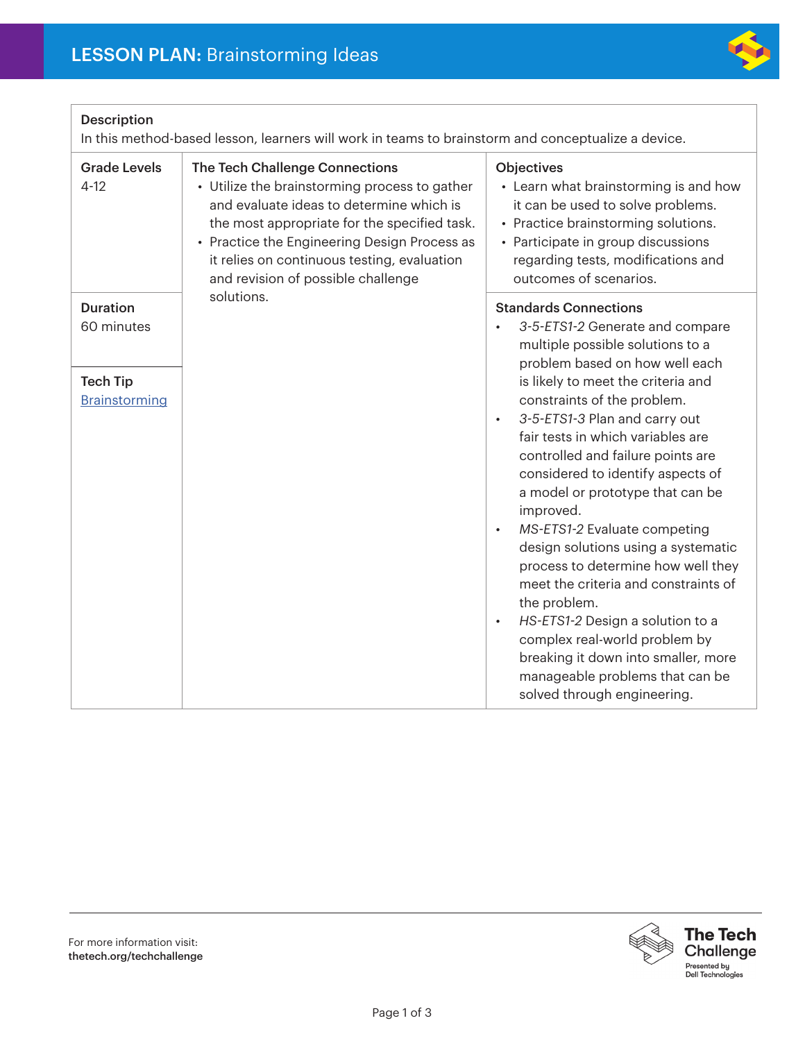

## Description

In this method-based lesson, learners will work in teams to brainstorm and conceptualize a device.

| <b>Grade Levels</b><br>$4 - 12$                                   | The Tech Challenge Connections<br>• Utilize the brainstorming process to gather<br>and evaluate ideas to determine which is<br>the most appropriate for the specified task.<br>• Practice the Engineering Design Process as<br>it relies on continuous testing, evaluation<br>and revision of possible challenge | <b>Objectives</b><br>• Learn what brainstorming is and how<br>it can be used to solve problems.<br>• Practice brainstorming solutions.<br>• Participate in group discussions<br>regarding tests, modifications and<br>outcomes of scenarios.                                                                                                                                                                                                                                                                                                                                                                                                                                                                           |
|-------------------------------------------------------------------|------------------------------------------------------------------------------------------------------------------------------------------------------------------------------------------------------------------------------------------------------------------------------------------------------------------|------------------------------------------------------------------------------------------------------------------------------------------------------------------------------------------------------------------------------------------------------------------------------------------------------------------------------------------------------------------------------------------------------------------------------------------------------------------------------------------------------------------------------------------------------------------------------------------------------------------------------------------------------------------------------------------------------------------------|
| <b>Duration</b><br>60 minutes<br><b>Tech Tip</b><br>Brainstorming | solutions.                                                                                                                                                                                                                                                                                                       | <b>Standards Connections</b><br>3-5-ETS1-2 Generate and compare<br>multiple possible solutions to a<br>problem based on how well each<br>is likely to meet the criteria and<br>constraints of the problem.<br>3-5-ETS1-3 Plan and carry out<br>$\bullet$<br>fair tests in which variables are<br>controlled and failure points are<br>considered to identify aspects of<br>a model or prototype that can be<br>improved.<br>MS-ETS1-2 Evaluate competing<br>$\bullet$<br>design solutions using a systematic<br>process to determine how well they<br>meet the criteria and constraints of<br>the problem.<br>HS-ETS1-2 Design a solution to a<br>complex real-world problem by<br>breaking it down into smaller, more |
|                                                                   |                                                                                                                                                                                                                                                                                                                  | manageable problems that can be<br>solved through engineering.                                                                                                                                                                                                                                                                                                                                                                                                                                                                                                                                                                                                                                                         |

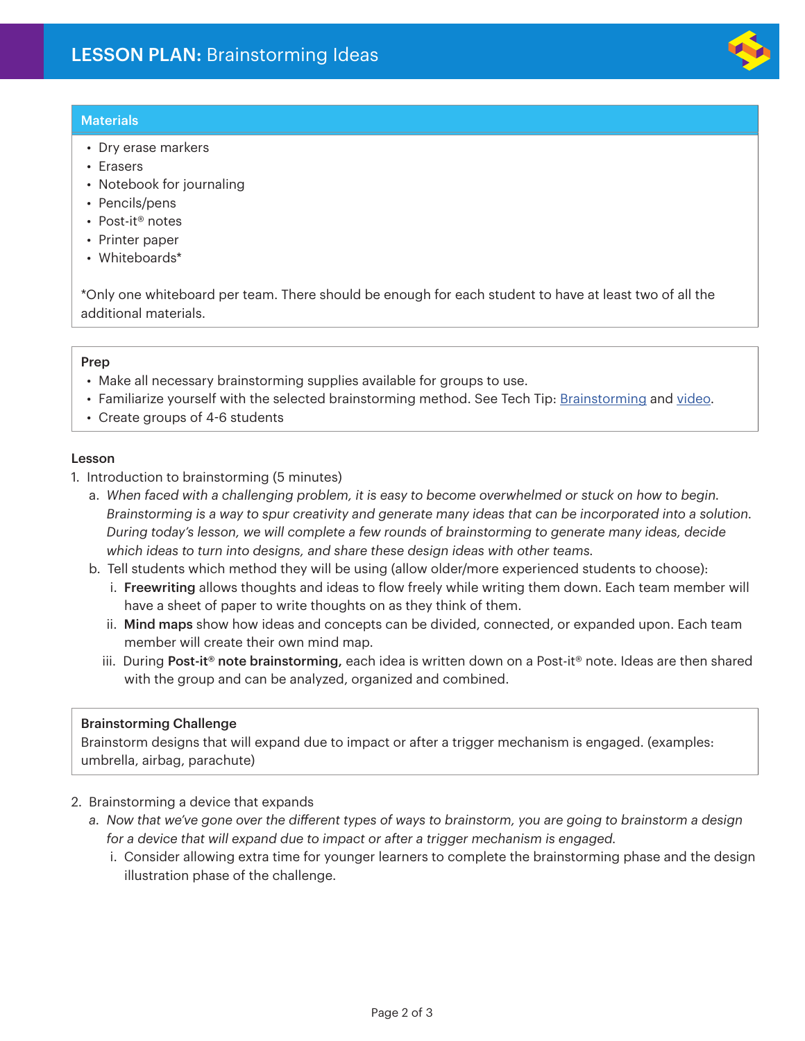# **Materials**

- Dry erase markers
- Erasers
- Notebook for journaling
- Pencils/pens
- Post-it® notes
- Printer paper
- Whiteboards\*

\*Only one whiteboard per team. There should be enough for each student to have at least two of all the additional materials.

### Prep

- Make all necessary brainstorming supplies available for groups to use.
- Familiarize yourself with the selected brainstorming method. See Tech Tip: Brainstorming and video.
- Create groups of 4-6 students

#### Lesson

- 1. Introduction to brainstorming (5 minutes)
	- a. *When faced with a challenging problem, it is easy to become overwhelmed or stuck on how to begin. Brainstorming is a way to spur creativity and generate many ideas that can be incorporated into a solution. During today's lesson, we will complete a few rounds of brainstorming to generate many ideas, decide which ideas to turn into designs, and share these design ideas with other teams.*
	- b. Tell students which method they will be using (allow older/more experienced students to choose):
		- i. Freewriting allows thoughts and ideas to flow freely while writing them down. Each team member will have a sheet of paper to write thoughts on as they think of them.
		- ii. Mind maps show how ideas and concepts can be divided, connected, or expanded upon. Each team member will create their own mind map.
		- iii. During Post-it<sup>®</sup> note brainstorming, each idea is written down on a Post-it® note. Ideas are then shared with the group and can be analyzed, organized and combined.

### Brainstorming Challenge

Brainstorm designs that will expand due to impact or after a trigger mechanism is engaged. (examples: umbrella, airbag, parachute)

- 2. Brainstorming a device that expands
	- *a. Now that we've gone over the different types of ways to brainstorm, you are going to brainstorm a design*  for a device that will expand due to impact or after a trigger mechanism is engaged.
		- i. Consider allowing extra time for younger learners to complete the brainstorming phase and the design illustration phase of the challenge.